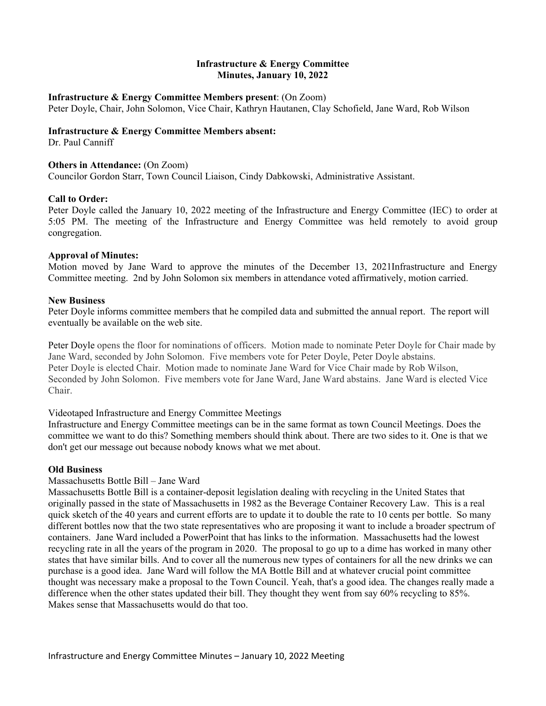## **Infrastructure & Energy Committee Minutes, January 10, 2022**

#### **Infrastructure & Energy Committee Members present**: (On Zoom)

Peter Doyle, Chair, John Solomon, Vice Chair, Kathryn Hautanen, Clay Schofield, Jane Ward, Rob Wilson

## **Infrastructure & Energy Committee Members absent:**

Dr. Paul Canniff

## **Others in Attendance: (On Zoom)**

Councilor Gordon Starr, Town Council Liaison, Cindy Dabkowski, Administrative Assistant.

## **Call to Order:**

Peter Doyle called the January 10, 2022 meeting of the Infrastructure and Energy Committee (IEC) to order at 5:05 PM. The meeting of the Infrastructure and Energy Committee was held remotely to avoid group congregation.

## **Approval of Minutes:**

Motion moved by Jane Ward to approve the minutes of the December 13, 2021Infrastructure and Energy Committee meeting. 2nd by John Solomon six members in attendance voted affirmatively, motion carried.

## **New Business**

Peter Doyle informs committee members that he compiled data and submitted the annual report. The report will eventually be available on the web site.

Peter Doyle opens the floor for nominations of officers. Motion made to nominate Peter Doyle for Chair made by Jane Ward, seconded by John Solomon. Five members vote for Peter Doyle, Peter Doyle abstains. Peter Doyle is elected Chair. Motion made to nominate Jane Ward for Vice Chair made by Rob Wilson, Seconded by John Solomon. Five members vote for Jane Ward, Jane Ward abstains. Jane Ward is elected Vice Chair.

#### Videotaped Infrastructure and Energy Committee Meetings

Infrastructure and Energy Committee meetings can be in the same format as town Council Meetings. Does the committee we want to do this? Something members should think about. There are two sides to it. One is that we don't get our message out because nobody knows what we met about.

#### **Old Business**

#### Massachusetts Bottle Bill – Jane Ward

Massachusetts Bottle Bill is a container-deposit legislation dealing with recycling in the United States that originally passed in the state of Massachusetts in 1982 as the Beverage Container Recovery Law. This is a real quick sketch of the 40 years and current efforts are to update it to double the rate to 10 cents per bottle. So many different bottles now that the two state representatives who are proposing it want to include a broader spectrum of containers. Jane Ward included a PowerPoint that has links to the information. Massachusetts had the lowest recycling rate in all the years of the program in 2020. The proposal to go up to a dime has worked in many other states that have similar bills. And to cover all the numerous new types of containers for all the new drinks we can purchase is a good idea. Jane Ward will follow the MA Bottle Bill and at whatever crucial point committee thought was necessary make a proposal to the Town Council. Yeah, that's a good idea. The changes really made a difference when the other states updated their bill. They thought they went from say 60% recycling to 85%. Makes sense that Massachusetts would do that too.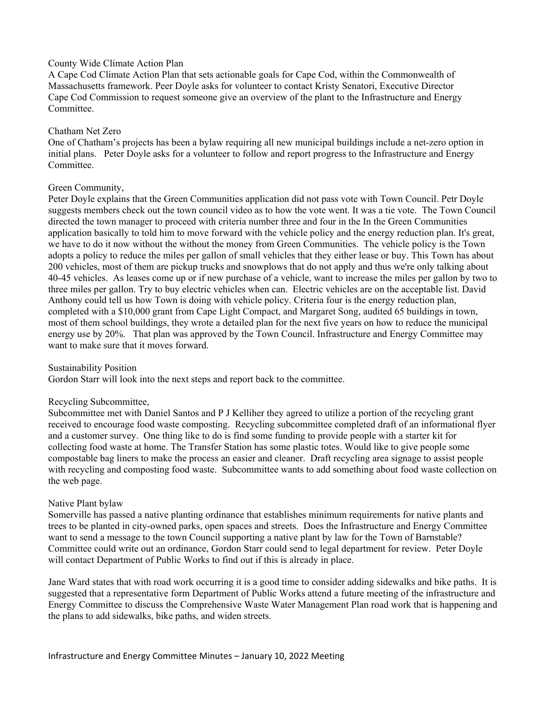## County Wide Climate Action Plan

A Cape Cod Climate Action Plan that sets actionable goals for Cape Cod, within the Commonwealth of Massachusetts framework. Peer Doyle asks for volunteer to contact Kristy Senatori, Executive Director Cape Cod Commission to request someone give an overview of the plant to the Infrastructure and Energy Committee.

## Chatham Net Zero

One of Chatham's projects has been a bylaw requiring all new municipal buildings include a net-zero option in initial plans. Peter Doyle asks for a volunteer to follow and report progress to the Infrastructure and Energy Committee.

# Green Community,

Peter Doyle explains that the Green Communities application did not pass vote with Town Council. Petr Doyle suggests members check out the town council video as to how the vote went. It was a tie vote. The Town Council directed the town manager to proceed with criteria number three and four in the In the Green Communities application basically to told him to move forward with the vehicle policy and the energy reduction plan. It's great, we have to do it now without the without the money from Green Communities. The vehicle policy is the Town adopts a policy to reduce the miles per gallon of small vehicles that they either lease or buy. This Town has about 200 vehicles, most of them are pickup trucks and snowplows that do not apply and thus we're only talking about 40-45 vehicles. As leases come up or if new purchase of a vehicle, want to increase the miles per gallon by two to three miles per gallon. Try to buy electric vehicles when can. Electric vehicles are on the acceptable list. David Anthony could tell us how Town is doing with vehicle policy. Criteria four is the energy reduction plan, completed with a \$10,000 grant from Cape Light Compact, and Margaret Song, audited 65 buildings in town, most of them school buildings, they wrote a detailed plan for the next five years on how to reduce the municipal energy use by 20%. That plan was approved by the Town Council. Infrastructure and Energy Committee may want to make sure that it moves forward.

Sustainability Position

Gordon Starr will look into the next steps and report back to the committee.

# Recycling Subcommittee,

Subcommittee met with Daniel Santos and P J Kelliher they agreed to utilize a portion of the recycling grant received to encourage food waste composting. Recycling subcommittee completed draft of an informational flyer and a customer survey. One thing like to do is find some funding to provide people with a starter kit for collecting food waste at home. The Transfer Station has some plastic totes. Would like to give people some compostable bag liners to make the process an easier and cleaner. Draft recycling area signage to assist people with recycling and composting food waste. Subcommittee wants to add something about food waste collection on the web page.

# Native Plant bylaw

Somerville has passed a native planting ordinance that establishes minimum requirements for native plants and trees to be planted in city-owned parks, open spaces and streets. Does the Infrastructure and Energy Committee want to send a message to the town Council supporting a native plant by law for the Town of Barnstable? Committee could write out an ordinance, Gordon Starr could send to legal department for review. Peter Doyle will contact Department of Public Works to find out if this is already in place.

Jane Ward states that with road work occurring it is a good time to consider adding sidewalks and bike paths. It is suggested that a representative form Department of Public Works attend a future meeting of the infrastructure and Energy Committee to discuss the Comprehensive Waste Water Management Plan road work that is happening and the plans to add sidewalks, bike paths, and widen streets.